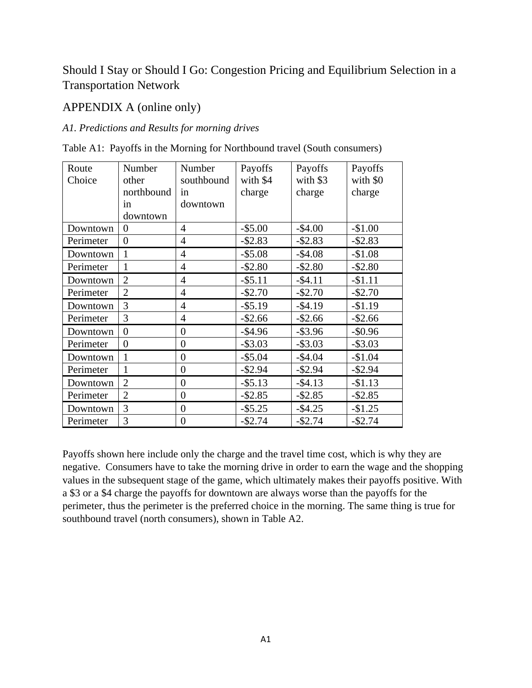# Should I Stay or Should I Go: Congestion Pricing and Equilibrium Selection in a Transportation Network

## APPENDIX A (online only)

### *A1. Predictions and Results for morning drives*

Table A1: Payoffs in the Morning for Northbound travel (South consumers)

| Route     | Number         | Number           | Payoffs    | Payoffs    | Payoffs    |
|-----------|----------------|------------------|------------|------------|------------|
| Choice    | other          | southbound       | with \$4   | with \$3   | with \$0   |
|           | northbound     | in               | charge     | charge     | charge     |
|           | in             | downtown         |            |            |            |
|           | downtown       |                  |            |            |            |
| Downtown  | 0              | 4                | $-$ \$5.00 | $-$4.00$   | $-$1.00$   |
| Perimeter | $\overline{0}$ | 4                | $-$ \$2.83 | $-$ \$2.83 | $-$ \$2.83 |
| Downtown  | 1              | $\overline{4}$   | $-$ \$5.08 | $-$4.08$   | $-$1.08$   |
| Perimeter | $\mathbf{1}$   | $\overline{4}$   | $-$ \$2.80 | $-$ \$2.80 | $-$ \$2.80 |
| Downtown  | $\overline{2}$ | $\overline{4}$   | $-$ \$5.11 | $-$4.11$   | $-$1.11$   |
| Perimeter | $\overline{2}$ | $\overline{4}$   | $-$ \$2.70 | $-$ \$2.70 | $-$ \$2.70 |
| Downtown  | 3              | $\overline{4}$   | $-$ \$5.19 | $-$4.19$   | $-$1.19$   |
| Perimeter | 3              | $\overline{4}$   | $-$ \$2.66 | $-$ \$2.66 | $-$ \$2.66 |
| Downtown  | $\overline{0}$ | $\overline{0}$   | $-$4.96$   | $-$ \$3.96 | $-$ \$0.96 |
| Perimeter | $\overline{0}$ | $\overline{0}$   | $-$ \$3.03 | $-$ \$3.03 | $-$ \$3.03 |
| Downtown  | $\mathbf{1}$   | $\boldsymbol{0}$ | $-$ \$5.04 | $-$4.04$   | $-$1.04$   |
| Perimeter | 1              | $\overline{0}$   | $-$ \$2.94 | $-$ \$2.94 | $-$ \$2.94 |
| Downtown  | $\overline{2}$ | $\overline{0}$   | $-$ \$5.13 | $-$ \$4.13 | $-$1.13$   |
| Perimeter | $\overline{2}$ | $\overline{0}$   | $-$ \$2.85 | $-$ \$2.85 | $-$ \$2.85 |
| Downtown  | 3              | $\boldsymbol{0}$ | $-$ \$5.25 | $-$4.25$   | $-$1.25$   |
| Perimeter | 3              | $\overline{0}$   | $-$ \$2.74 | $-$2.74$   | $-$2.74$   |

Payoffs shown here include only the charge and the travel time cost, which is why they are negative. Consumers have to take the morning drive in order to earn the wage and the shopping values in the subsequent stage of the game, which ultimately makes their payoffs positive. With a \$3 or a \$4 charge the payoffs for downtown are always worse than the payoffs for the perimeter, thus the perimeter is the preferred choice in the morning. The same thing is true for southbound travel (north consumers), shown in Table A2.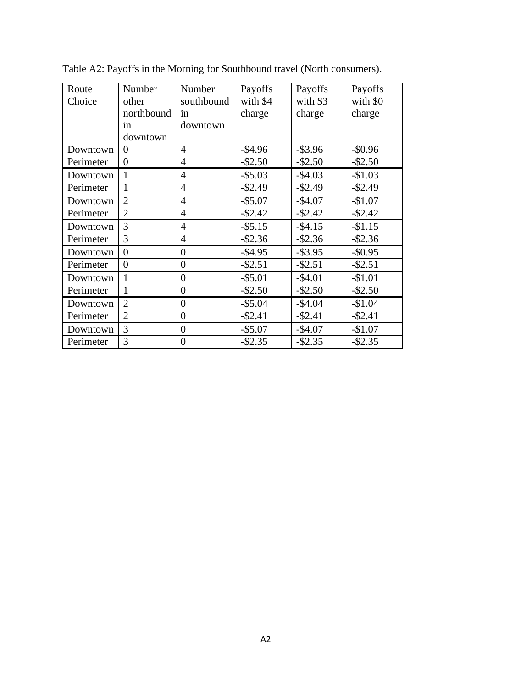| Route     | Number         | Number           | Payoffs    | Payoffs    | Payoffs    |
|-----------|----------------|------------------|------------|------------|------------|
| Choice    | other          | southbound       | with \$4   | with \$3   | with \$0   |
|           | northbound     | in               | charge     | charge     | charge     |
|           | in             | downtown         |            |            |            |
|           | downtown       |                  |            |            |            |
| Downtown  | $\overline{0}$ | $\overline{4}$   | $-$4.96$   | $-$ \$3.96 | $-$ \$0.96 |
| Perimeter | $\overline{0}$ | 4                | $-$ \$2.50 | $-$ \$2.50 | $-$ \$2.50 |
| Downtown  | 1              | 4                | $-$ \$5.03 | $-$ \$4.03 | $-$1.03$   |
| Perimeter | $\mathbf{1}$   | 4                | $-$ \$2.49 | $-$ \$2.49 | $-$ \$2.49 |
| Downtown  | $\overline{2}$ | $\overline{4}$   | $-$5.07$   | $-$4.07$   | $-$1.07$   |
| Perimeter | $\overline{2}$ | $\overline{4}$   | $-$ \$2.42 | $-$ \$2.42 | $-$ \$2.42 |
| Downtown  | 3              | $\overline{4}$   | $-$ \$5.15 | $-$4.15$   | $-$1.15$   |
| Perimeter | 3              | $\overline{4}$   | $-$ \$2.36 | $-$ \$2.36 | $-$ \$2.36 |
| Downtown  | $\overline{0}$ | $\overline{0}$   | $-$4.95$   | $-$ \$3.95 | $-$ \$0.95 |
| Perimeter | $\overline{0}$ | $\overline{0}$   | $-$ \$2.51 | $-$ \$2.51 | $-$ \$2.51 |
| Downtown  | 1              | $\overline{0}$   | $-$ \$5.01 | $-$4.01$   | $-$1.01$   |
| Perimeter | 1              | $\overline{0}$   | $-$ \$2.50 | $-$ \$2.50 | $-$ \$2.50 |
| Downtown  | $\overline{2}$ | $\theta$         | $-$5.04$   | $-$4.04$   | $-$1.04$   |
| Perimeter | $\overline{2}$ | $\theta$         | $-$ \$2.41 | $-$ \$2.41 | $-$ \$2.41 |
| Downtown  | 3              | $\theta$         | $-$ \$5.07 | $-$4.07$   | $-$1.07$   |
| Perimeter | 3              | $\boldsymbol{0}$ | $-$ \$2.35 | $-$ \$2.35 | $-$ \$2.35 |

Table A2: Payoffs in the Morning for Southbound travel (North consumers).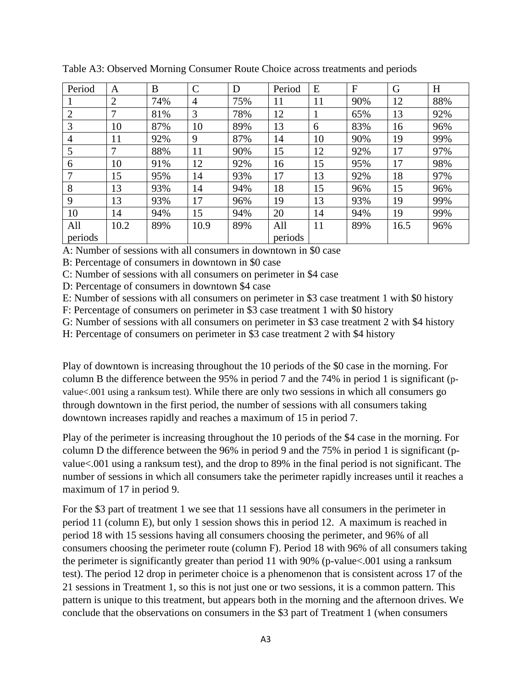| Period         | A              | B   | $\mathbf C$    | D   | Period  | E  | $\mathbf{F}$ | G    | H   |
|----------------|----------------|-----|----------------|-----|---------|----|--------------|------|-----|
|                | $\overline{2}$ | 74% | $\overline{4}$ | 75% | 11      | 11 | 90%          | 12   | 88% |
| $\overline{2}$ | 7              | 81% | 3              | 78% | 12      |    | 65%          | 13   | 92% |
| 3              | 10             | 87% | 10             | 89% | 13      | 6  | 83%          | 16   | 96% |
| 4              | 11             | 92% | 9              | 87% | 14      | 10 | 90%          | 19   | 99% |
| 5              | 7              | 88% | 11             | 90% | 15      | 12 | 92%          | 17   | 97% |
| 6              | 10             | 91% | 12             | 92% | 16      | 15 | 95%          | 17   | 98% |
| 7              | 15             | 95% | 14             | 93% | 17      | 13 | 92%          | 18   | 97% |
| 8              | 13             | 93% | 14             | 94% | 18      | 15 | 96%          | 15   | 96% |
| 9              | 13             | 93% | 17             | 96% | 19      | 13 | 93%          | 19   | 99% |
| 10             | 14             | 94% | 15             | 94% | 20      | 14 | 94%          | 19   | 99% |
| All            | 10.2           | 89% | 10.9           | 89% | All     | 11 | 89%          | 16.5 | 96% |
| periods        |                |     |                |     | periods |    |              |      |     |

Table A3: Observed Morning Consumer Route Choice across treatments and periods

A: Number of sessions with all consumers in downtown in \$0 case

B: Percentage of consumers in downtown in \$0 case

C: Number of sessions with all consumers on perimeter in \$4 case

D: Percentage of consumers in downtown \$4 case

E: Number of sessions with all consumers on perimeter in \$3 case treatment 1 with \$0 history

F: Percentage of consumers on perimeter in \$3 case treatment 1 with \$0 history

G: Number of sessions with all consumers on perimeter in \$3 case treatment 2 with \$4 history

H: Percentage of consumers on perimeter in \$3 case treatment 2 with \$4 history

Play of downtown is increasing throughout the 10 periods of the \$0 case in the morning. For column B the difference between the 95% in period 7 and the 74% in period 1 is significant (pvalue<.001 using a ranksum test). While there are only two sessions in which all consumers go through downtown in the first period, the number of sessions with all consumers taking downtown increases rapidly and reaches a maximum of 15 in period 7.

Play of the perimeter is increasing throughout the 10 periods of the \$4 case in the morning. For column D the difference between the 96% in period 9 and the 75% in period 1 is significant (pvalue<.001 using a ranksum test), and the drop to 89% in the final period is not significant. The number of sessions in which all consumers take the perimeter rapidly increases until it reaches a maximum of 17 in period 9.

For the \$3 part of treatment 1 we see that 11 sessions have all consumers in the perimeter in period 11 (column E), but only 1 session shows this in period 12. A maximum is reached in period 18 with 15 sessions having all consumers choosing the perimeter, and 96% of all consumers choosing the perimeter route (column F). Period 18 with 96% of all consumers taking the perimeter is significantly greater than period 11 with 90% (p-value<.001 using a ranksum test). The period 12 drop in perimeter choice is a phenomenon that is consistent across 17 of the 21 sessions in Treatment 1, so this is not just one or two sessions, it is a common pattern. This pattern is unique to this treatment, but appears both in the morning and the afternoon drives. We conclude that the observations on consumers in the \$3 part of Treatment 1 (when consumers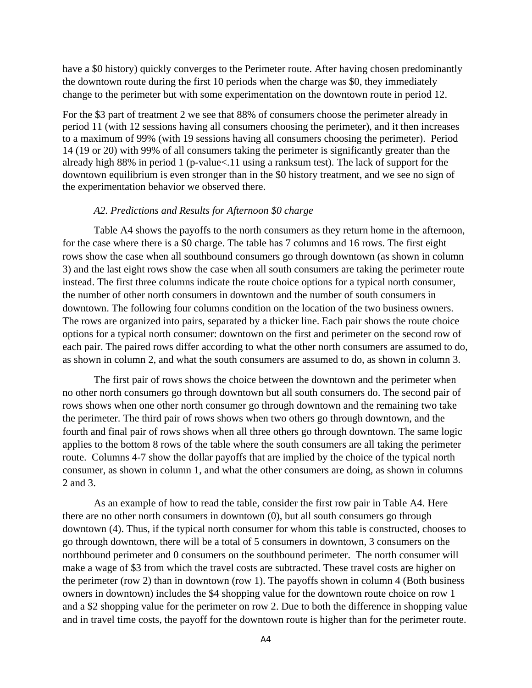have a \$0 history) quickly converges to the Perimeter route. After having chosen predominantly the downtown route during the first 10 periods when the charge was \$0, they immediately change to the perimeter but with some experimentation on the downtown route in period 12.

For the \$3 part of treatment 2 we see that 88% of consumers choose the perimeter already in period 11 (with 12 sessions having all consumers choosing the perimeter), and it then increases to a maximum of 99% (with 19 sessions having all consumers choosing the perimeter). Period 14 (19 or 20) with 99% of all consumers taking the perimeter is significantly greater than the already high 88% in period 1 (p-value<.11 using a ranksum test). The lack of support for the downtown equilibrium is even stronger than in the \$0 history treatment, and we see no sign of the experimentation behavior we observed there.

### *A2. Predictions and Results for Afternoon \$0 charge*

Table A4 shows the payoffs to the north consumers as they return home in the afternoon, for the case where there is a \$0 charge. The table has 7 columns and 16 rows. The first eight rows show the case when all southbound consumers go through downtown (as shown in column 3) and the last eight rows show the case when all south consumers are taking the perimeter route instead. The first three columns indicate the route choice options for a typical north consumer, the number of other north consumers in downtown and the number of south consumers in downtown. The following four columns condition on the location of the two business owners. The rows are organized into pairs, separated by a thicker line. Each pair shows the route choice options for a typical north consumer: downtown on the first and perimeter on the second row of each pair. The paired rows differ according to what the other north consumers are assumed to do, as shown in column 2, and what the south consumers are assumed to do, as shown in column 3.

The first pair of rows shows the choice between the downtown and the perimeter when no other north consumers go through downtown but all south consumers do. The second pair of rows shows when one other north consumer go through downtown and the remaining two take the perimeter. The third pair of rows shows when two others go through downtown, and the fourth and final pair of rows shows when all three others go through downtown. The same logic applies to the bottom 8 rows of the table where the south consumers are all taking the perimeter route. Columns 4-7 show the dollar payoffs that are implied by the choice of the typical north consumer, as shown in column 1, and what the other consumers are doing, as shown in columns 2 and 3.

As an example of how to read the table, consider the first row pair in Table A4. Here there are no other north consumers in downtown (0), but all south consumers go through downtown (4). Thus, if the typical north consumer for whom this table is constructed, chooses to go through downtown, there will be a total of 5 consumers in downtown, 3 consumers on the northbound perimeter and 0 consumers on the southbound perimeter. The north consumer will make a wage of \$3 from which the travel costs are subtracted. These travel costs are higher on the perimeter (row 2) than in downtown (row 1). The payoffs shown in column 4 (Both business owners in downtown) includes the \$4 shopping value for the downtown route choice on row 1 and a \$2 shopping value for the perimeter on row 2. Due to both the difference in shopping value and in travel time costs, the payoff for the downtown route is higher than for the perimeter route.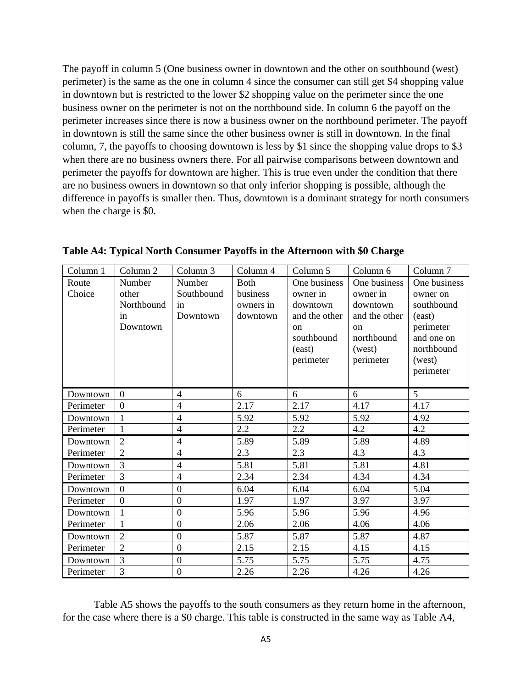The payoff in column 5 (One business owner in downtown and the other on southbound (west) perimeter) is the same as the one in column 4 since the consumer can still get \$4 shopping value in downtown but is restricted to the lower \$2 shopping value on the perimeter since the one business owner on the perimeter is not on the northbound side. In column 6 the payoff on the perimeter increases since there is now a business owner on the northbound perimeter. The payoff in downtown is still the same since the other business owner is still in downtown. In the final column, 7, the payoffs to choosing downtown is less by \$1 since the shopping value drops to \$3 when there are no business owners there. For all pairwise comparisons between downtown and perimeter the payoffs for downtown are higher. This is true even under the condition that there are no business owners in downtown so that only inferior shopping is possible, although the difference in payoffs is smaller then. Thus, downtown is a dominant strategy for north consumers when the charge is \$0.

| Column 1        | Column 2                                        | Column 3                               | Column 4                                         | Column 5                                                                                                    | Column 6                                                                                                    | Column 7                                                                                                         |
|-----------------|-------------------------------------------------|----------------------------------------|--------------------------------------------------|-------------------------------------------------------------------------------------------------------------|-------------------------------------------------------------------------------------------------------------|------------------------------------------------------------------------------------------------------------------|
| Route<br>Choice | Number<br>other<br>Northbound<br>in<br>Downtown | Number<br>Southbound<br>in<br>Downtown | <b>Both</b><br>business<br>owners in<br>downtown | One business<br>owner in<br>downtown<br>and the other<br><sub>on</sub><br>southbound<br>(east)<br>perimeter | One business<br>owner in<br>downtown<br>and the other<br><sub>on</sub><br>northbound<br>(west)<br>perimeter | One business<br>owner on<br>southbound<br>(east)<br>perimeter<br>and one on<br>northbound<br>(west)<br>perimeter |
| Downtown        | $\overline{0}$                                  | $\overline{4}$                         | 6                                                | 6                                                                                                           | 6                                                                                                           | 5                                                                                                                |
| Perimeter       | $\overline{0}$                                  | $\overline{4}$                         | 2.17                                             | 2.17                                                                                                        | 4.17                                                                                                        | 4.17                                                                                                             |
| Downtown        | $\mathbf{1}$                                    | $\overline{4}$                         | 5.92                                             | 5.92                                                                                                        | 5.92                                                                                                        | 4.92                                                                                                             |
| Perimeter       | 1                                               | $\overline{4}$                         | $2.2\,$                                          | 2.2                                                                                                         | 4.2                                                                                                         | 4.2                                                                                                              |
| Downtown        | $\overline{2}$                                  | $\overline{4}$                         | 5.89                                             | 5.89                                                                                                        | 5.89                                                                                                        | 4.89                                                                                                             |
| Perimeter       | $\overline{2}$                                  | $\overline{4}$                         | 2.3                                              | 2.3                                                                                                         | 4.3                                                                                                         | 4.3                                                                                                              |
| Downtown        | 3                                               | $\overline{4}$                         | 5.81                                             | 5.81                                                                                                        | 5.81                                                                                                        | 4.81                                                                                                             |
| Perimeter       | 3                                               | $\overline{4}$                         | 2.34                                             | 2.34                                                                                                        | 4.34                                                                                                        | 4.34                                                                                                             |
| Downtown        | $\overline{0}$                                  | $\overline{0}$                         | 6.04                                             | 6.04                                                                                                        | 6.04                                                                                                        | 5.04                                                                                                             |
| Perimeter       | $\overline{0}$                                  | $\boldsymbol{0}$                       | 1.97                                             | 1.97                                                                                                        | 3.97                                                                                                        | 3.97                                                                                                             |
| Downtown        |                                                 | $\overline{0}$                         | 5.96                                             | 5.96                                                                                                        | 5.96                                                                                                        | 4.96                                                                                                             |
| Perimeter       | 1                                               | $\boldsymbol{0}$                       | 2.06                                             | 2.06                                                                                                        | 4.06                                                                                                        | 4.06                                                                                                             |
| Downtown        | $\overline{2}$                                  | $\boldsymbol{0}$                       | 5.87                                             | 5.87                                                                                                        | 5.87                                                                                                        | 4.87                                                                                                             |
| Perimeter       | $\overline{2}$                                  | $\overline{0}$                         | 2.15                                             | 2.15                                                                                                        | 4.15                                                                                                        | 4.15                                                                                                             |
| Downtown        | 3                                               | $\boldsymbol{0}$                       | 5.75                                             | 5.75                                                                                                        | 5.75                                                                                                        | 4.75                                                                                                             |
| Perimeter       | 3                                               | $\theta$                               | 2.26                                             | 2.26                                                                                                        | 4.26                                                                                                        | 4.26                                                                                                             |

**Table A4: Typical North Consumer Payoffs in the Afternoon with \$0 Charge**

Table A5 shows the payoffs to the south consumers as they return home in the afternoon, for the case where there is a \$0 charge. This table is constructed in the same way as Table A4,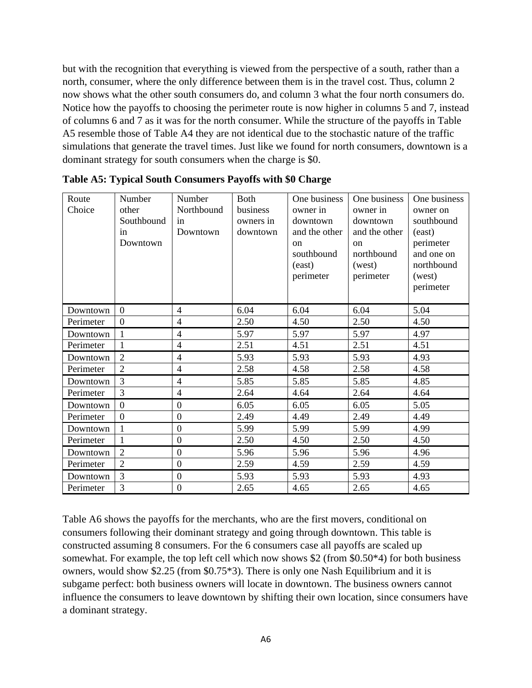but with the recognition that everything is viewed from the perspective of a south, rather than a north, consumer, where the only difference between them is in the travel cost. Thus, column 2 now shows what the other south consumers do, and column 3 what the four north consumers do. Notice how the payoffs to choosing the perimeter route is now higher in columns 5 and 7, instead of columns 6 and 7 as it was for the north consumer. While the structure of the payoffs in Table A5 resemble those of Table A4 they are not identical due to the stochastic nature of the traffic simulations that generate the travel times. Just like we found for north consumers, downtown is a dominant strategy for south consumers when the charge is \$0.

| Route<br>Choice | Number<br>other<br>Southbound<br>in<br>Downtown | Number<br>Northbound<br>in<br>Downtown | <b>Both</b><br>business<br>owners in<br>downtown | One business<br>owner in<br>downtown<br>and the other<br><sub>on</sub><br>southbound<br>(east)<br>perimeter | One business<br>owner in<br>downtown<br>and the other<br>$\alpha$<br>northbound<br>(west)<br>perimeter | One business<br>owner on<br>southbound<br>(east)<br>perimeter<br>and one on<br>northbound<br>(west)<br>perimeter |
|-----------------|-------------------------------------------------|----------------------------------------|--------------------------------------------------|-------------------------------------------------------------------------------------------------------------|--------------------------------------------------------------------------------------------------------|------------------------------------------------------------------------------------------------------------------|
| Downtown        | $\overline{0}$                                  | $\overline{4}$                         | 6.04                                             | 6.04                                                                                                        | 6.04                                                                                                   | 5.04                                                                                                             |
| Perimeter       | $\overline{0}$                                  | $\overline{4}$                         | 2.50                                             | 4.50                                                                                                        | 2.50                                                                                                   | 4.50                                                                                                             |
| Downtown        |                                                 | $\overline{4}$                         | 5.97                                             | 5.97                                                                                                        | 5.97                                                                                                   | 4.97                                                                                                             |
| Perimeter       | $\mathbf{1}$                                    | $\overline{4}$                         | 2.51                                             | 4.51                                                                                                        | 2.51                                                                                                   | 4.51                                                                                                             |
| Downtown        | $\overline{2}$                                  | $\overline{4}$                         | 5.93                                             | 5.93                                                                                                        | 5.93                                                                                                   | 4.93                                                                                                             |
| Perimeter       | $\overline{2}$                                  | $\overline{4}$                         | 2.58                                             | 4.58                                                                                                        | 2.58                                                                                                   | 4.58                                                                                                             |
| Downtown        | $\overline{3}$                                  | $\overline{4}$                         | 5.85                                             | 5.85                                                                                                        | 5.85                                                                                                   | 4.85                                                                                                             |
| Perimeter       | 3                                               | $\overline{4}$                         | 2.64                                             | 4.64                                                                                                        | 2.64                                                                                                   | 4.64                                                                                                             |
| Downtown        | $\overline{0}$                                  | $\boldsymbol{0}$                       | 6.05                                             | 6.05                                                                                                        | 6.05                                                                                                   | 5.05                                                                                                             |
| Perimeter       | $\overline{0}$                                  | $\boldsymbol{0}$                       | 2.49                                             | 4.49                                                                                                        | 2.49                                                                                                   | 4.49                                                                                                             |
| Downtown        | $\mathbf{1}$                                    | $\overline{0}$                         | 5.99                                             | 5.99                                                                                                        | 5.99                                                                                                   | 4.99                                                                                                             |
| Perimeter       | $\mathbf{1}$                                    | $\boldsymbol{0}$                       | 2.50                                             | 4.50                                                                                                        | 2.50                                                                                                   | 4.50                                                                                                             |
| Downtown        | $\overline{2}$                                  | $\overline{0}$                         | 5.96                                             | 5.96                                                                                                        | 5.96                                                                                                   | 4.96                                                                                                             |
| Perimeter       | $\overline{2}$                                  | $\boldsymbol{0}$                       | 2.59                                             | 4.59                                                                                                        | 2.59                                                                                                   | 4.59                                                                                                             |
| Downtown        | $\overline{3}$                                  | $\overline{0}$                         | 5.93                                             | 5.93                                                                                                        | 5.93                                                                                                   | 4.93                                                                                                             |
| Perimeter       | 3                                               | $\boldsymbol{0}$                       | 2.65                                             | 4.65                                                                                                        | 2.65                                                                                                   | 4.65                                                                                                             |

**Table A5: Typical South Consumers Payoffs with \$0 Charge**

Table A6 shows the payoffs for the merchants, who are the first movers, conditional on consumers following their dominant strategy and going through downtown. This table is constructed assuming 8 consumers. For the 6 consumers case all payoffs are scaled up somewhat. For example, the top left cell which now shows \$2 (from \$0.50\*4) for both business owners, would show \$2.25 (from \$0.75\*3). There is only one Nash Equilibrium and it is subgame perfect: both business owners will locate in downtown. The business owners cannot influence the consumers to leave downtown by shifting their own location, since consumers have a dominant strategy.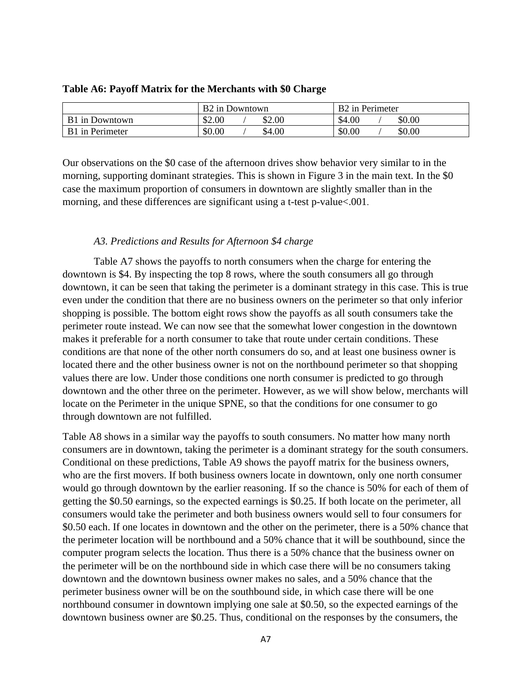|                       | B <sub>2</sub> in Downtown | B <sub>2</sub> in Perimeter |
|-----------------------|----------------------------|-----------------------------|
| <b>B1</b> in Downtown | \$2.00<br>\$2.00           | \$4.00<br>\$0.00            |
| B1 in Perimeter       | \$0.00<br>\$4.00           | \$0.00<br>\$0.00            |

#### **Table A6: Payoff Matrix for the Merchants with \$0 Charge**

Our observations on the \$0 case of the afternoon drives show behavior very similar to in the morning, supporting dominant strategies. This is shown in Figure 3 in the main text. In the \$0 case the maximum proportion of consumers in downtown are slightly smaller than in the morning, and these differences are significant using a t-test p-value<.001.

### *A3. Predictions and Results for Afternoon \$4 charge*

Table A7 shows the payoffs to north consumers when the charge for entering the downtown is \$4. By inspecting the top 8 rows, where the south consumers all go through downtown, it can be seen that taking the perimeter is a dominant strategy in this case. This is true even under the condition that there are no business owners on the perimeter so that only inferior shopping is possible. The bottom eight rows show the payoffs as all south consumers take the perimeter route instead. We can now see that the somewhat lower congestion in the downtown makes it preferable for a north consumer to take that route under certain conditions. These conditions are that none of the other north consumers do so, and at least one business owner is located there and the other business owner is not on the northbound perimeter so that shopping values there are low. Under those conditions one north consumer is predicted to go through downtown and the other three on the perimeter. However, as we will show below, merchants will locate on the Perimeter in the unique SPNE, so that the conditions for one consumer to go through downtown are not fulfilled.

Table A8 shows in a similar way the payoffs to south consumers. No matter how many north consumers are in downtown, taking the perimeter is a dominant strategy for the south consumers. Conditional on these predictions, Table A9 shows the payoff matrix for the business owners, who are the first movers. If both business owners locate in downtown, only one north consumer would go through downtown by the earlier reasoning. If so the chance is 50% for each of them of getting the \$0.50 earnings, so the expected earnings is \$0.25. If both locate on the perimeter, all consumers would take the perimeter and both business owners would sell to four consumers for \$0.50 each. If one locates in downtown and the other on the perimeter, there is a 50% chance that the perimeter location will be northbound and a 50% chance that it will be southbound, since the computer program selects the location. Thus there is a 50% chance that the business owner on the perimeter will be on the northbound side in which case there will be no consumers taking downtown and the downtown business owner makes no sales, and a 50% chance that the perimeter business owner will be on the southbound side, in which case there will be one northbound consumer in downtown implying one sale at \$0.50, so the expected earnings of the downtown business owner are \$0.25. Thus, conditional on the responses by the consumers, the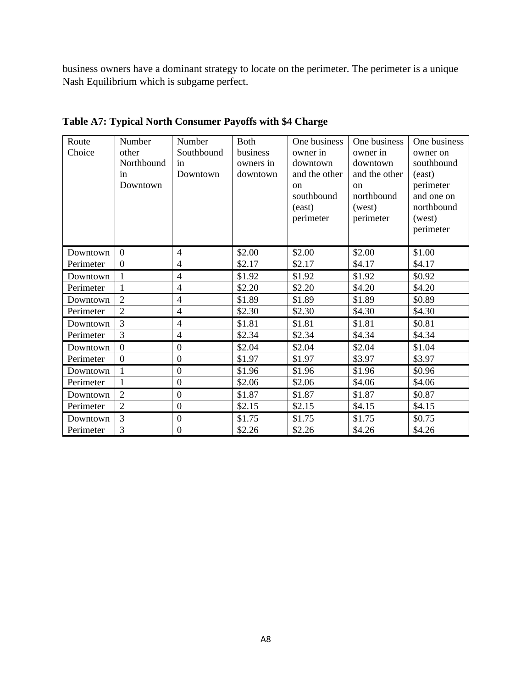business owners have a dominant strategy to locate on the perimeter. The perimeter is a unique Nash Equilibrium which is subgame perfect.

| Route<br>Choice | Number<br>other<br>Northbound<br>in<br>Downtown | Number<br>Southbound<br>in<br>Downtown | <b>Both</b><br>business<br>owners in<br>downtown | One business<br>owner in<br>downtown<br>and the other<br><sub>on</sub><br>southbound<br>(east)<br>perimeter | One business<br>owner in<br>downtown<br>and the other<br><sub>on</sub><br>northbound<br>(west)<br>perimeter | One business<br>owner on<br>southbound<br>(east)<br>perimeter<br>and one on<br>northbound<br>(west)<br>perimeter |
|-----------------|-------------------------------------------------|----------------------------------------|--------------------------------------------------|-------------------------------------------------------------------------------------------------------------|-------------------------------------------------------------------------------------------------------------|------------------------------------------------------------------------------------------------------------------|
| Downtown        | $\overline{0}$                                  | $\overline{4}$                         | \$2.00                                           | \$2.00                                                                                                      | \$2.00                                                                                                      | \$1.00                                                                                                           |
| Perimeter       | $\overline{0}$                                  | $\overline{4}$                         | \$2.17                                           | \$2.17                                                                                                      | \$4.17                                                                                                      | \$4.17                                                                                                           |
| Downtown        | 1                                               | $\overline{4}$                         | \$1.92                                           | \$1.92                                                                                                      | \$1.92                                                                                                      | \$0.92                                                                                                           |
| Perimeter       | $\mathbf{1}$                                    | $\overline{4}$                         | \$2.20                                           | \$2.20                                                                                                      | \$4.20                                                                                                      | \$4.20                                                                                                           |
| Downtown        | $\overline{2}$                                  | $\overline{4}$                         | \$1.89                                           | \$1.89                                                                                                      | \$1.89                                                                                                      | \$0.89                                                                                                           |
| Perimeter       | $\overline{2}$                                  | $\overline{4}$                         | \$2.30                                           | \$2.30                                                                                                      | \$4.30                                                                                                      | \$4.30                                                                                                           |
| Downtown        | 3                                               | $\overline{4}$                         | \$1.81                                           | \$1.81                                                                                                      | \$1.81                                                                                                      | \$0.81                                                                                                           |
| Perimeter       | 3                                               | $\overline{4}$                         | \$2.34                                           | \$2.34                                                                                                      | \$4.34                                                                                                      | \$4.34                                                                                                           |
| Downtown        | $\overline{0}$                                  | $\mathbf{0}$                           | \$2.04                                           | \$2.04                                                                                                      | \$2.04                                                                                                      | \$1.04                                                                                                           |
| Perimeter       | $\overline{0}$                                  | $\mathbf{0}$                           | \$1.97                                           | \$1.97                                                                                                      | \$3.97                                                                                                      | \$3.97                                                                                                           |
| Downtown        | 1                                               | $\overline{0}$                         | \$1.96                                           | \$1.96                                                                                                      | \$1.96                                                                                                      | \$0.96                                                                                                           |
| Perimeter       | 1                                               | $\overline{0}$                         | \$2.06                                           | \$2.06                                                                                                      | \$4.06                                                                                                      | \$4.06                                                                                                           |
| Downtown        | $\overline{2}$                                  | $\mathbf{0}$                           | \$1.87                                           | \$1.87                                                                                                      | \$1.87                                                                                                      | \$0.87                                                                                                           |
| Perimeter       | $\overline{2}$                                  | $\mathbf{0}$                           | \$2.15                                           | \$2.15                                                                                                      | \$4.15                                                                                                      | \$4.15                                                                                                           |
| Downtown        | 3                                               | $\mathbf{0}$                           | \$1.75                                           | \$1.75                                                                                                      | \$1.75                                                                                                      | \$0.75                                                                                                           |
| Perimeter       | 3                                               | $\boldsymbol{0}$                       | \$2.26                                           | \$2.26                                                                                                      | \$4.26                                                                                                      | \$4.26                                                                                                           |

**Table A7: Typical North Consumer Payoffs with \$4 Charge**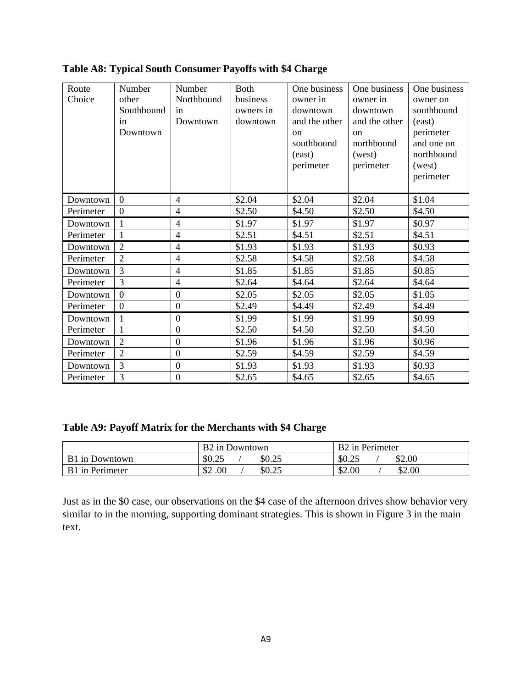| Route<br>Choice | Number<br>other<br>Southbound<br>in<br>Downtown | Number<br>Northbound<br>in<br>Downtown | <b>B</b> oth<br>business<br>owners in<br>downtown | One business<br>owner in<br>downtown<br>and the other<br>on<br>southbound<br>(east)<br>perimeter | One business<br>owner in<br>downtown<br>and the other<br><sub>on</sub><br>northbound<br>(west)<br>perimeter | One business<br>owner on<br>southbound<br>(east)<br>perimeter<br>and one on<br>northbound<br>(west)<br>perimeter |
|-----------------|-------------------------------------------------|----------------------------------------|---------------------------------------------------|--------------------------------------------------------------------------------------------------|-------------------------------------------------------------------------------------------------------------|------------------------------------------------------------------------------------------------------------------|
| Downtown        | $\overline{0}$                                  | 4                                      | \$2.04                                            | \$2.04                                                                                           | \$2.04                                                                                                      | \$1.04                                                                                                           |
| Perimeter       | $\Omega$                                        | $\overline{4}$                         | \$2.50                                            | \$4.50                                                                                           | \$2.50                                                                                                      | \$4.50                                                                                                           |
| Downtown        | 1                                               | $\overline{4}$                         | \$1.97                                            | \$1.97                                                                                           | \$1.97                                                                                                      | \$0.97                                                                                                           |
| Perimeter       | $\mathbf{1}$                                    | $\overline{4}$                         | \$2.51                                            | \$4.51                                                                                           | \$2.51                                                                                                      | \$4.51                                                                                                           |
| Downtown        | $\overline{2}$                                  | $\overline{4}$                         | \$1.93                                            | \$1.93                                                                                           | \$1.93                                                                                                      | \$0.93                                                                                                           |
| Perimeter       | $\overline{2}$                                  | $\overline{4}$                         | \$2.58                                            | \$4.58                                                                                           | \$2.58                                                                                                      | \$4.58                                                                                                           |
| Downtown        | 3                                               | 4                                      | \$1.85                                            | \$1.85                                                                                           | \$1.85                                                                                                      | \$0.85                                                                                                           |
| Perimeter       | 3                                               | $\overline{4}$                         | \$2.64                                            | \$4.64                                                                                           | \$2.64                                                                                                      | \$4.64                                                                                                           |
| Downtown        | $\Omega$                                        | $\mathbf{0}$                           | \$2.05                                            | \$2.05                                                                                           | \$2.05                                                                                                      | \$1.05                                                                                                           |
| Perimeter       | $\overline{0}$                                  | $\mathbf{0}$                           | \$2.49                                            | \$4.49                                                                                           | \$2.49                                                                                                      | \$4.49                                                                                                           |
| Downtown        | $\overline{1}$                                  | $\mathbf{0}$                           | \$1.99                                            | \$1.99                                                                                           | \$1.99                                                                                                      | \$0.99                                                                                                           |
| Perimeter       | 1                                               | $\overline{0}$                         | \$2.50                                            | \$4.50                                                                                           | \$2.50                                                                                                      | \$4.50                                                                                                           |
| Downtown        | $\overline{2}$                                  | $\overline{0}$                         | \$1.96                                            | \$1.96                                                                                           | \$1.96                                                                                                      | \$0.96                                                                                                           |
| Perimeter       | $\overline{2}$                                  | $\mathbf{0}$                           | \$2.59                                            | \$4.59                                                                                           | \$2.59                                                                                                      | \$4.59                                                                                                           |
| Downtown        | $\overline{3}$                                  | $\mathbf{0}$                           | \$1.93                                            | \$1.93                                                                                           | \$1.93                                                                                                      | \$0.93                                                                                                           |
| Perimeter       | 3                                               | $\mathbf{0}$                           | \$2.65                                            | \$4.65                                                                                           | \$2.65                                                                                                      | \$4.65                                                                                                           |

**Table A8: Typical South Consumer Payoffs with \$4 Charge**

|  |  | Table A9: Payoff Matrix for the Merchants with \$4 Charge |  |
|--|--|-----------------------------------------------------------|--|
|  |  |                                                           |  |

|                        | B <sub>2</sub> in Downtown | B <sub>2</sub> in Perimeter |
|------------------------|----------------------------|-----------------------------|
| B1 in Downtown         | \$0.25<br>\$0.25           | \$0.25<br>\$2.00            |
| <b>B1</b> in Perimeter | \$2.00<br>\$0.25           | \$2.00<br>\$2.00            |

Just as in the \$0 case, our observations on the \$4 case of the afternoon drives show behavior very similar to in the morning, supporting dominant strategies. This is shown in Figure 3 in the main text.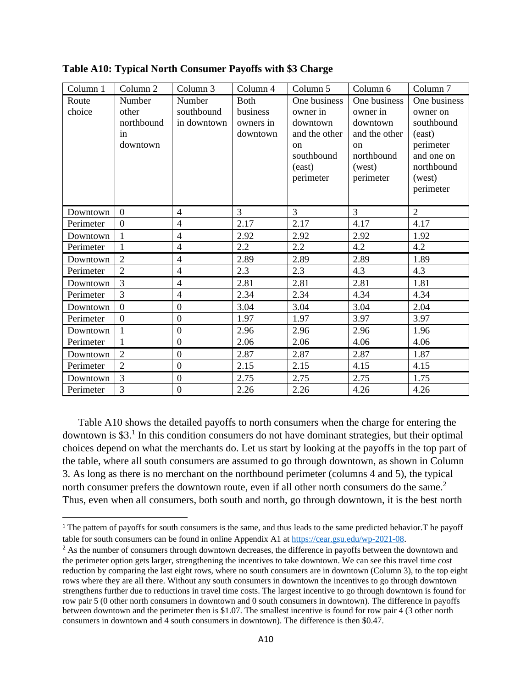| Column 1        | Column 2                                        | Column 3                            | Column 4                                         | Column 5                                                                                     | Column 6                                                                            | Column <sub>7</sub>                                                                       |
|-----------------|-------------------------------------------------|-------------------------------------|--------------------------------------------------|----------------------------------------------------------------------------------------------|-------------------------------------------------------------------------------------|-------------------------------------------------------------------------------------------|
| Route<br>choice | Number<br>other<br>northbound<br>in<br>downtown | Number<br>southbound<br>in downtown | <b>Both</b><br>business<br>owners in<br>downtown | One business<br>owner in<br>downtown<br>and the other<br>$_{\rm on}$<br>southbound<br>(east) | One business<br>owner in<br>downtown<br>and the other<br>on<br>northbound<br>(west) | One business<br>owner on<br>southbound<br>(east)<br>perimeter<br>and one on<br>northbound |
|                 |                                                 |                                     |                                                  | perimeter                                                                                    | perimeter                                                                           | (west)<br>perimeter                                                                       |
| Downtown        | $\overline{0}$                                  | $\overline{4}$                      | $\overline{3}$                                   | $\overline{3}$                                                                               | $\overline{3}$                                                                      | $\overline{2}$                                                                            |
| Perimeter       | $\overline{0}$                                  | $\overline{4}$                      | 2.17                                             | 2.17                                                                                         | 4.17                                                                                | 4.17                                                                                      |
| Downtown        | 1                                               | $\overline{4}$                      | 2.92                                             | 2.92                                                                                         | 2.92                                                                                | 1.92                                                                                      |
| Perimeter       |                                                 | $\overline{4}$                      | 2.2                                              | 2.2                                                                                          | 4.2                                                                                 | 4.2                                                                                       |
| Downtown        | $\overline{2}$                                  | $\overline{4}$                      | 2.89                                             | 2.89                                                                                         | 2.89                                                                                | 1.89                                                                                      |
| Perimeter       | $\overline{2}$                                  | $\overline{4}$                      | 2.3                                              | 2.3                                                                                          | 4.3                                                                                 | 4.3                                                                                       |
| Downtown        | 3                                               | $\overline{4}$                      | 2.81                                             | 2.81                                                                                         | 2.81                                                                                | 1.81                                                                                      |
| Perimeter       | 3                                               | $\overline{4}$                      | 2.34                                             | 2.34                                                                                         | 4.34                                                                                | 4.34                                                                                      |
| Downtown        | $\overline{0}$                                  | $\boldsymbol{0}$                    | 3.04                                             | 3.04                                                                                         | 3.04                                                                                | 2.04                                                                                      |
| Perimeter       | $\overline{0}$                                  | $\overline{0}$                      | 1.97                                             | 1.97                                                                                         | 3.97                                                                                | 3.97                                                                                      |
| Downtown        |                                                 | $\overline{0}$                      | 2.96                                             | 2.96                                                                                         | 2.96                                                                                | 1.96                                                                                      |
| Perimeter       | 1                                               | $\overline{0}$                      | 2.06                                             | 2.06                                                                                         | 4.06                                                                                | 4.06                                                                                      |
| Downtown        | $\overline{2}$                                  | $\overline{0}$                      | 2.87                                             | 2.87                                                                                         | 2.87                                                                                | 1.87                                                                                      |
| Perimeter       | $\overline{2}$                                  | $\overline{0}$                      | 2.15                                             | 2.15                                                                                         | 4.15                                                                                | 4.15                                                                                      |
| Downtown        | $\overline{3}$                                  | $\overline{0}$                      | 2.75                                             | 2.75                                                                                         | 2.75                                                                                | 1.75                                                                                      |
| Perimeter       | 3                                               | $\boldsymbol{0}$                    | 2.26                                             | 2.26                                                                                         | 4.26                                                                                | 4.26                                                                                      |

**Table A10: Typical North Consumer Payoffs with \$3 Charge**

Table A10 shows the detailed payoffs to north consumers when the charge for entering the downtown is \$3.<sup>1</sup> In this condition consumers do not have dominant strategies, but their optimal choices depend on what the merchants do. Let us start by looking at the payoffs in the top part of the table, where all south consumers are assumed to go through downtown, as shown in Column 3. As long as there is no merchant on the northbound perimeter (columns 4 and 5), the typical north consumer prefers the downtown route, even if all other north consumers do the same.<sup>2</sup> Thus, even when all consumers, both south and north, go through downtown, it is the best north

<sup>&</sup>lt;sup>1</sup> The pattern of payoffs for south consumers is the same, and thus leads to the same predicted behavior. The payoff table for south consumers can be found in online Appendix A1 at<https://cear.gsu.edu/wp-2021-08>.

<sup>&</sup>lt;sup>2</sup> As the number of consumers through downtown decreases, the difference in payoffs between the downtown and the perimeter option gets larger, strengthening the incentives to take downtown. We can see this travel time cost reduction by comparing the last eight rows, where no south consumers are in downtown (Column 3), to the top eight rows where they are all there. Without any south consumers in downtown the incentives to go through downtown strengthens further due to reductions in travel time costs. The largest incentive to go through downtown is found for row pair 5 (0 other north consumers in downtown and 0 south consumers in downtown). The difference in payoffs between downtown and the perimeter then is \$1.07. The smallest incentive is found for row pair 4 (3 other north consumers in downtown and 4 south consumers in downtown). The difference is then \$0.47.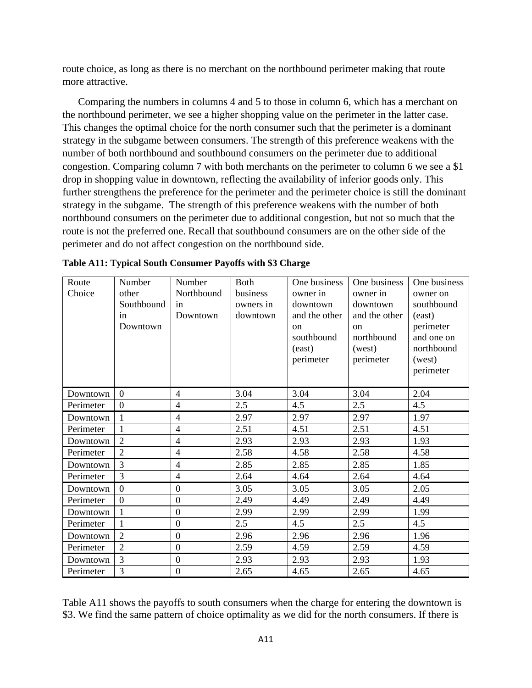route choice, as long as there is no merchant on the northbound perimeter making that route more attractive.

Comparing the numbers in columns 4 and 5 to those in column 6, which has a merchant on the northbound perimeter, we see a higher shopping value on the perimeter in the latter case. This changes the optimal choice for the north consumer such that the perimeter is a dominant strategy in the subgame between consumers. The strength of this preference weakens with the number of both northbound and southbound consumers on the perimeter due to additional congestion. Comparing column 7 with both merchants on the perimeter to column 6 we see a \$1 drop in shopping value in downtown, reflecting the availability of inferior goods only. This further strengthens the preference for the perimeter and the perimeter choice is still the dominant strategy in the subgame. The strength of this preference weakens with the number of both northbound consumers on the perimeter due to additional congestion, but not so much that the route is not the preferred one. Recall that southbound consumers are on the other side of the perimeter and do not affect congestion on the northbound side.

| Route     | Number         | Number           | <b>Both</b> | One business  | One business  | One business |
|-----------|----------------|------------------|-------------|---------------|---------------|--------------|
| Choice    | other          | Northbound       | business    | owner in      | owner in      | owner on     |
|           | Southbound     | in               | owners in   | downtown      | downtown      | southbound   |
|           | in             | Downtown         | downtown    | and the other | and the other | (east)       |
|           | Downtown       |                  |             | $_{\rm on}$   | on            | perimeter    |
|           |                |                  |             | southbound    | northbound    | and one on   |
|           |                |                  |             | (east)        | (west)        | northbound   |
|           |                |                  |             | perimeter     | perimeter     | (west)       |
|           |                |                  |             |               |               | perimeter    |
|           |                |                  |             |               |               |              |
| Downtown  | $\overline{0}$ | 4                | 3.04        | 3.04          | 3.04          | 2.04         |
| Perimeter | $\Omega$       | $\overline{4}$   | 2.5         | 4.5           | $2.5^{\circ}$ | 4.5          |
| Downtown  | 1              | $\overline{4}$   | 2.97        | 2.97          | 2.97          | 1.97         |
| Perimeter | 1              | $\overline{4}$   | 2.51        | 4.51          | 2.51          | 4.51         |
| Downtown  | $\overline{2}$ | $\overline{4}$   | 2.93        | 2.93          | 2.93          | 1.93         |
| Perimeter | $\overline{2}$ | $\overline{4}$   | 2.58        | 4.58          | 2.58          | 4.58         |
| Downtown  | $\overline{3}$ | $\overline{4}$   | 2.85        | 2.85          | 2.85          | 1.85         |
| Perimeter | 3              | $\overline{4}$   | 2.64        | 4.64          | 2.64          | 4.64         |
| Downtown  | $\theta$       | $\overline{0}$   | 3.05        | 3.05          | 3.05          | 2.05         |
| Perimeter | $\overline{0}$ | $\overline{0}$   | 2.49        | 4.49          | 2.49          | 4.49         |
| Downtown  |                | $\mathbf{0}$     | 2.99        | 2.99          | 2.99          | 1.99         |
| Perimeter | $\mathbf{1}$   | $\boldsymbol{0}$ | 2.5         | 4.5           | 2.5           | 4.5          |
| Downtown  | $\overline{2}$ | $\mathbf{0}$     | 2.96        | 2.96          | 2.96          | 1.96         |
| Perimeter | $\overline{2}$ | $\overline{0}$   | 2.59        | 4.59          | 2.59          | 4.59         |
| Downtown  | $\overline{3}$ | $\theta$         | 2.93        | 2.93          | 2.93          | 1.93         |
| Perimeter | 3              | $\overline{0}$   | 2.65        | 4.65          | 2.65          | 4.65         |

|  |  |  |  |  | Table A11: Typical South Consumer Payoffs with \$3 Charge |
|--|--|--|--|--|-----------------------------------------------------------|
|--|--|--|--|--|-----------------------------------------------------------|

Table A11 shows the payoffs to south consumers when the charge for entering the downtown is \$3. We find the same pattern of choice optimality as we did for the north consumers. If there is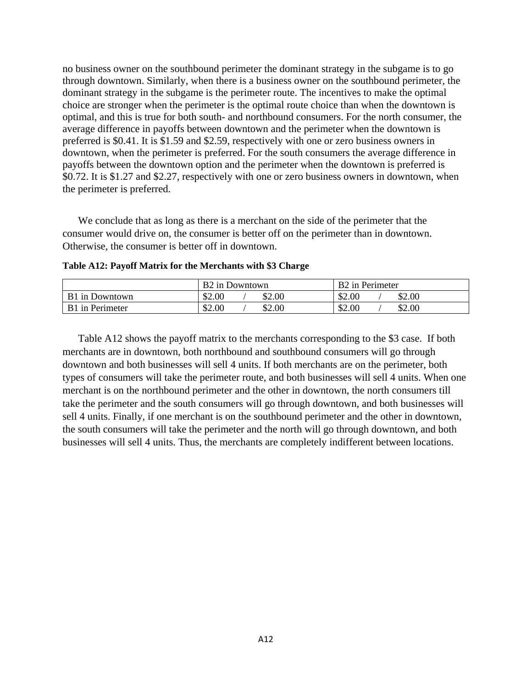no business owner on the southbound perimeter the dominant strategy in the subgame is to go through downtown. Similarly, when there is a business owner on the southbound perimeter, the dominant strategy in the subgame is the perimeter route. The incentives to make the optimal choice are stronger when the perimeter is the optimal route choice than when the downtown is optimal, and this is true for both south- and northbound consumers. For the north consumer, the average difference in payoffs between downtown and the perimeter when the downtown is preferred is \$0.41. It is \$1.59 and \$2.59, respectively with one or zero business owners in downtown, when the perimeter is preferred. For the south consumers the average difference in payoffs between the downtown option and the perimeter when the downtown is preferred is \$0.72. It is \$1.27 and \$2.27, respectively with one or zero business owners in downtown, when the perimeter is preferred.

We conclude that as long as there is a merchant on the side of the perimeter that the consumer would drive on, the consumer is better off on the perimeter than in downtown. Otherwise, the consumer is better off in downtown.

|                       | B <sub>2</sub> in Downtown | B <sub>2</sub> in Perimeter |  |
|-----------------------|----------------------------|-----------------------------|--|
| <b>B1</b> in Downtown | \$2.00<br>\$2.00           | \$2.00<br>\$2.00            |  |
| B1 in Perimeter       | \$2.00<br>\$2.00           | \$2.00<br>\$2.00            |  |

**Table A12: Payoff Matrix for the Merchants with \$3 Charge**

Table A12 shows the payoff matrix to the merchants corresponding to the \$3 case. If both merchants are in downtown, both northbound and southbound consumers will go through downtown and both businesses will sell 4 units. If both merchants are on the perimeter, both types of consumers will take the perimeter route, and both businesses will sell 4 units. When one merchant is on the northbound perimeter and the other in downtown, the north consumers till take the perimeter and the south consumers will go through downtown, and both businesses will sell 4 units. Finally, if one merchant is on the southbound perimeter and the other in downtown, the south consumers will take the perimeter and the north will go through downtown, and both businesses will sell 4 units. Thus, the merchants are completely indifferent between locations.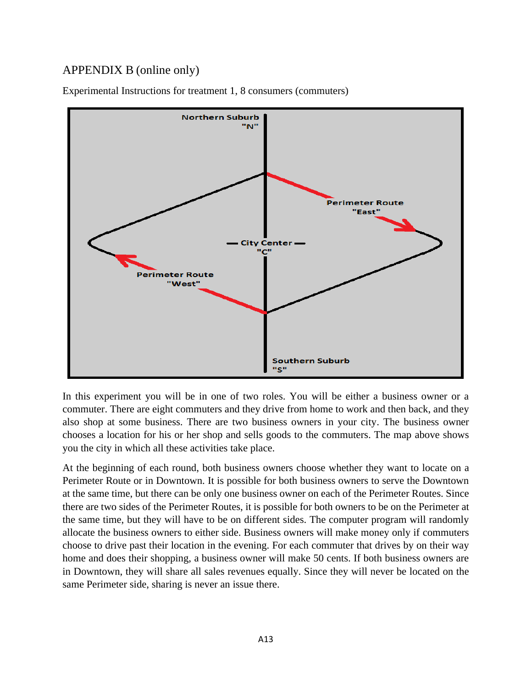## APPENDIX B (online only)



Experimental Instructions for treatment 1, 8 consumers (commuters)

In this experiment you will be in one of two roles. You will be either a business owner or a commuter. There are eight commuters and they drive from home to work and then back, and they also shop at some business. There are two business owners in your city. The business owner chooses a location for his or her shop and sells goods to the commuters. The map above shows you the city in which all these activities take place.

At the beginning of each round, both business owners choose whether they want to locate on a Perimeter Route or in Downtown. It is possible for both business owners to serve the Downtown at the same time, but there can be only one business owner on each of the Perimeter Routes. Since there are two sides of the Perimeter Routes, it is possible for both owners to be on the Perimeter at the same time, but they will have to be on different sides. The computer program will randomly allocate the business owners to either side. Business owners will make money only if commuters choose to drive past their location in the evening. For each commuter that drives by on their way home and does their shopping, a business owner will make 50 cents. If both business owners are in Downtown, they will share all sales revenues equally. Since they will never be located on the same Perimeter side, sharing is never an issue there.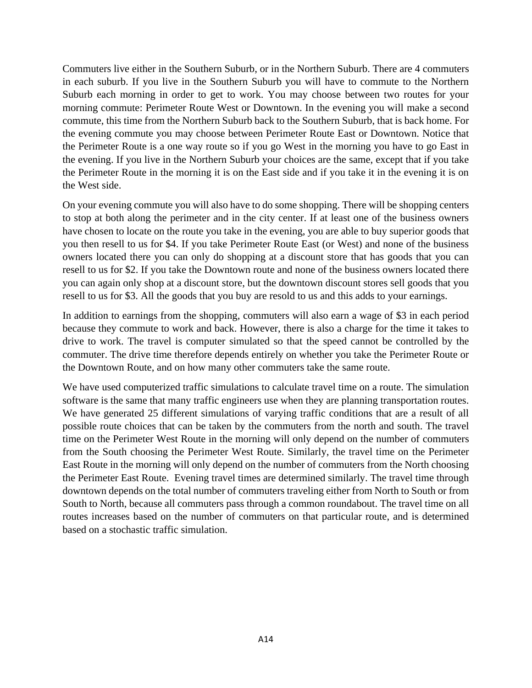Commuters live either in the Southern Suburb, or in the Northern Suburb. There are 4 commuters in each suburb. If you live in the Southern Suburb you will have to commute to the Northern Suburb each morning in order to get to work. You may choose between two routes for your morning commute: Perimeter Route West or Downtown. In the evening you will make a second commute, this time from the Northern Suburb back to the Southern Suburb, that is back home. For the evening commute you may choose between Perimeter Route East or Downtown. Notice that the Perimeter Route is a one way route so if you go West in the morning you have to go East in the evening. If you live in the Northern Suburb your choices are the same, except that if you take the Perimeter Route in the morning it is on the East side and if you take it in the evening it is on the West side.

On your evening commute you will also have to do some shopping. There will be shopping centers to stop at both along the perimeter and in the city center. If at least one of the business owners have chosen to locate on the route you take in the evening, you are able to buy superior goods that you then resell to us for \$4. If you take Perimeter Route East (or West) and none of the business owners located there you can only do shopping at a discount store that has goods that you can resell to us for \$2. If you take the Downtown route and none of the business owners located there you can again only shop at a discount store, but the downtown discount stores sell goods that you resell to us for \$3. All the goods that you buy are resold to us and this adds to your earnings.

In addition to earnings from the shopping, commuters will also earn a wage of \$3 in each period because they commute to work and back. However, there is also a charge for the time it takes to drive to work. The travel is computer simulated so that the speed cannot be controlled by the commuter. The drive time therefore depends entirely on whether you take the Perimeter Route or the Downtown Route, and on how many other commuters take the same route.

We have used computerized traffic simulations to calculate travel time on a route. The simulation software is the same that many traffic engineers use when they are planning transportation routes. We have generated 25 different simulations of varying traffic conditions that are a result of all possible route choices that can be taken by the commuters from the north and south. The travel time on the Perimeter West Route in the morning will only depend on the number of commuters from the South choosing the Perimeter West Route. Similarly, the travel time on the Perimeter East Route in the morning will only depend on the number of commuters from the North choosing the Perimeter East Route. Evening travel times are determined similarly. The travel time through downtown depends on the total number of commuters traveling either from North to South or from South to North, because all commuters pass through a common roundabout. The travel time on all routes increases based on the number of commuters on that particular route, and is determined based on a stochastic traffic simulation.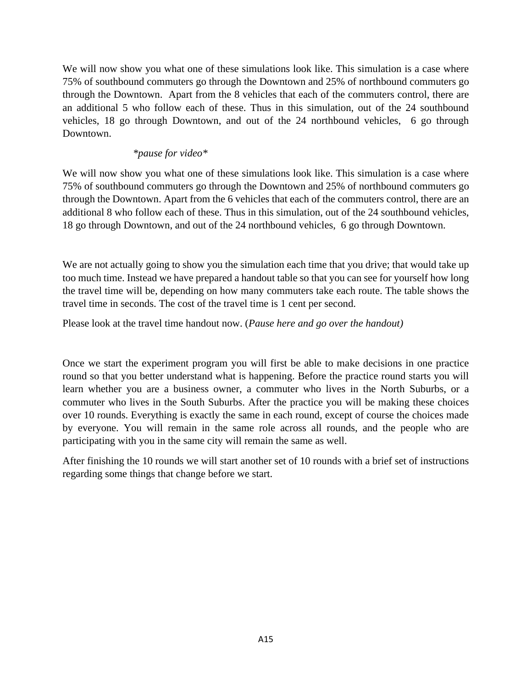We will now show you what one of these simulations look like. This simulation is a case where 75% of southbound commuters go through the Downtown and 25% of northbound commuters go through the Downtown. Apart from the 8 vehicles that each of the commuters control, there are an additional 5 who follow each of these. Thus in this simulation, out of the 24 southbound vehicles, 18 go through Downtown, and out of the 24 northbound vehicles, 6 go through Downtown.

## *\*pause for video\**

We will now show you what one of these simulations look like. This simulation is a case where 75% of southbound commuters go through the Downtown and 25% of northbound commuters go through the Downtown. Apart from the 6 vehicles that each of the commuters control, there are an additional 8 who follow each of these. Thus in this simulation, out of the 24 southbound vehicles, 18 go through Downtown, and out of the 24 northbound vehicles, 6 go through Downtown.

We are not actually going to show you the simulation each time that you drive; that would take up too much time. Instead we have prepared a handout table so that you can see for yourself how long the travel time will be, depending on how many commuters take each route. The table shows the travel time in seconds. The cost of the travel time is 1 cent per second.

Please look at the travel time handout now. (*Pause here and go over the handout)*

Once we start the experiment program you will first be able to make decisions in one practice round so that you better understand what is happening. Before the practice round starts you will learn whether you are a business owner, a commuter who lives in the North Suburbs, or a commuter who lives in the South Suburbs. After the practice you will be making these choices over 10 rounds. Everything is exactly the same in each round, except of course the choices made by everyone. You will remain in the same role across all rounds, and the people who are participating with you in the same city will remain the same as well.

After finishing the 10 rounds we will start another set of 10 rounds with a brief set of instructions regarding some things that change before we start.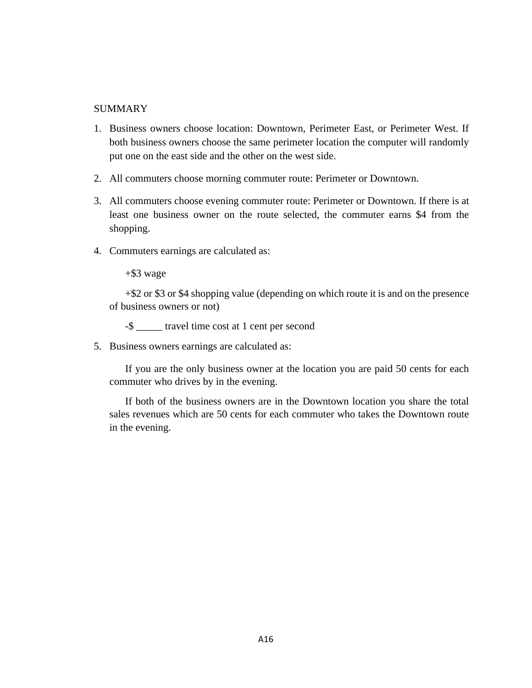### SUMMARY

- 1. Business owners choose location: Downtown, Perimeter East, or Perimeter West. If both business owners choose the same perimeter location the computer will randomly put one on the east side and the other on the west side.
- 2. All commuters choose morning commuter route: Perimeter or Downtown.
- 3. All commuters choose evening commuter route: Perimeter or Downtown. If there is at least one business owner on the route selected, the commuter earns \$4 from the shopping.
- 4. Commuters earnings are calculated as:

+\$3 wage

+\$2 or \$3 or \$4 shopping value (depending on which route it is and on the presence of business owners or not)

-\$ \_\_\_\_\_ travel time cost at 1 cent per second

5. Business owners earnings are calculated as:

If you are the only business owner at the location you are paid 50 cents for each commuter who drives by in the evening.

If both of the business owners are in the Downtown location you share the total sales revenues which are 50 cents for each commuter who takes the Downtown route in the evening.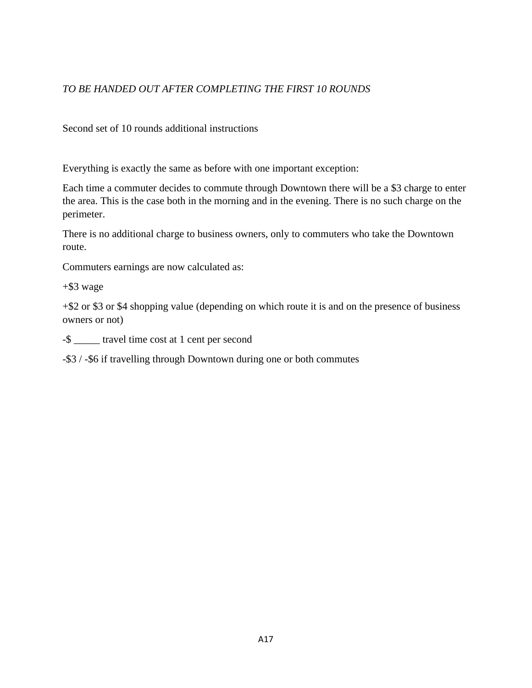## *TO BE HANDED OUT AFTER COMPLETING THE FIRST 10 ROUNDS*

Second set of 10 rounds additional instructions

Everything is exactly the same as before with one important exception:

Each time a commuter decides to commute through Downtown there will be a \$3 charge to enter the area. This is the case both in the morning and in the evening. There is no such charge on the perimeter.

There is no additional charge to business owners, only to commuters who take the Downtown route.

Commuters earnings are now calculated as:

+\$3 wage

+\$2 or \$3 or \$4 shopping value (depending on which route it is and on the presence of business owners or not)

-\$ \_\_\_\_\_ travel time cost at 1 cent per second

-\$3 / -\$6 if travelling through Downtown during one or both commutes